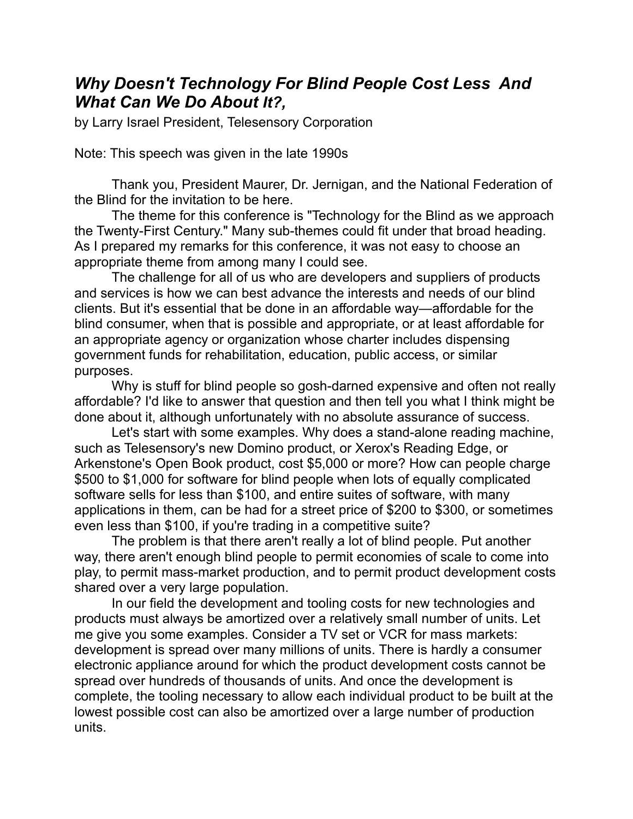## *Why Doesn't Technology For Blind People Cost Less And What Can We Do About It?,*

by Larry Israel President, Telesensory Corporation

Note: This speech was given in the late 1990s

Thank you, President Maurer, Dr. Jernigan, and the National Federation of the Blind for the invitation to be here.

The theme for this conference is "Technology for the Blind as we approach the Twenty-First Century." Many sub-themes could fit under that broad heading. As I prepared my remarks for this conference, it was not easy to choose an appropriate theme from among many I could see.

The challenge for all of us who are developers and suppliers of products and services is how we can best advance the interests and needs of our blind clients. But it's essential that be done in an affordable way—affordable for the blind consumer, when that is possible and appropriate, or at least affordable for an appropriate agency or organization whose charter includes dispensing government funds for rehabilitation, education, public access, or similar purposes.

Why is stuff for blind people so gosh-darned expensive and often not really affordable? I'd like to answer that question and then tell you what I think might be done about it, although unfortunately with no absolute assurance of success.

Let's start with some examples. Why does a stand-alone reading machine, such as Telesensory's new Domino product, or Xerox's Reading Edge, or Arkenstone's Open Book product, cost \$5,000 or more? How can people charge \$500 to \$1,000 for software for blind people when lots of equally complicated software sells for less than \$100, and entire suites of software, with many applications in them, can be had for a street price of \$200 to \$300, or sometimes even less than \$100, if you're trading in a competitive suite?

The problem is that there aren't really a lot of blind people. Put another way, there aren't enough blind people to permit economies of scale to come into play, to permit mass-market production, and to permit product development costs shared over a very large population.

In our field the development and tooling costs for new technologies and products must always be amortized over a relatively small number of units. Let me give you some examples. Consider a TV set or VCR for mass markets: development is spread over many millions of units. There is hardly a consumer electronic appliance around for which the product development costs cannot be spread over hundreds of thousands of units. And once the development is complete, the tooling necessary to allow each individual product to be built at the lowest possible cost can also be amortized over a large number of production units.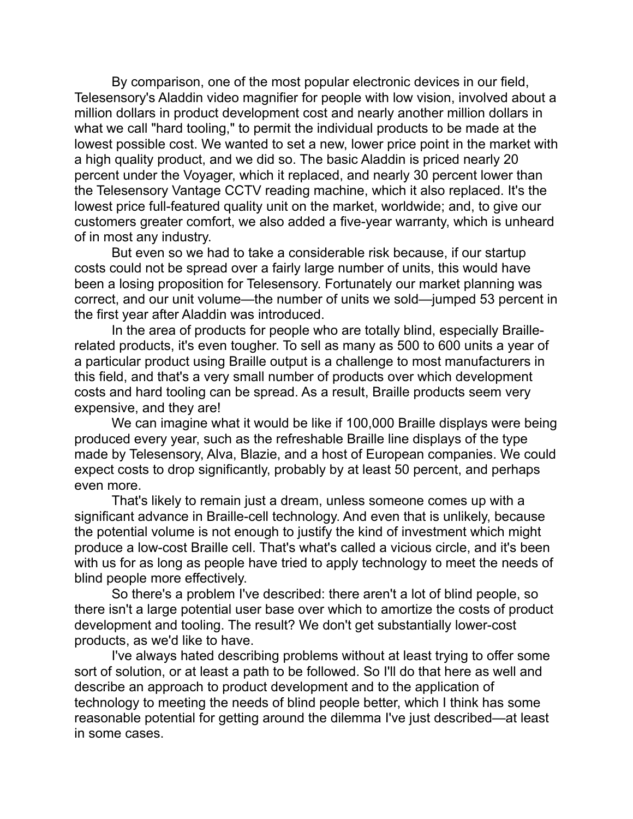By comparison, one of the most popular electronic devices in our field, Telesensory's Aladdin video magnifier for people with low vision, involved about a million dollars in product development cost and nearly another million dollars in what we call "hard tooling," to permit the individual products to be made at the lowest possible cost. We wanted to set a new, lower price point in the market with a high quality product, and we did so. The basic Aladdin is priced nearly 20 percent under the Voyager, which it replaced, and nearly 30 percent lower than the Telesensory Vantage CCTV reading machine, which it also replaced. It's the lowest price full-featured quality unit on the market, worldwide; and, to give our customers greater comfort, we also added a five-year warranty, which is unheard of in most any industry.

But even so we had to take a considerable risk because, if our startup costs could not be spread over a fairly large number of units, this would have been a losing proposition for Telesensory. Fortunately our market planning was correct, and our unit volume—the number of units we sold—jumped 53 percent in the first year after Aladdin was introduced.

In the area of products for people who are totally blind, especially Braillerelated products, it's even tougher. To sell as many as 500 to 600 units a year of a particular product using Braille output is a challenge to most manufacturers in this field, and that's a very small number of products over which development costs and hard tooling can be spread. As a result, Braille products seem very expensive, and they are!

We can imagine what it would be like if 100,000 Braille displays were being produced every year, such as the refreshable Braille line displays of the type made by Telesensory, Alva, Blazie, and a host of European companies. We could expect costs to drop significantly, probably by at least 50 percent, and perhaps even more.

That's likely to remain just a dream, unless someone comes up with a significant advance in Braille-cell technology. And even that is unlikely, because the potential volume is not enough to justify the kind of investment which might produce a low-cost Braille cell. That's what's called a vicious circle, and it's been with us for as long as people have tried to apply technology to meet the needs of blind people more effectively.

So there's a problem I've described: there aren't a lot of blind people, so there isn't a large potential user base over which to amortize the costs of product development and tooling. The result? We don't get substantially lower-cost products, as we'd like to have.

I've always hated describing problems without at least trying to offer some sort of solution, or at least a path to be followed. So I'll do that here as well and describe an approach to product development and to the application of technology to meeting the needs of blind people better, which I think has some reasonable potential for getting around the dilemma I've just described—at least in some cases.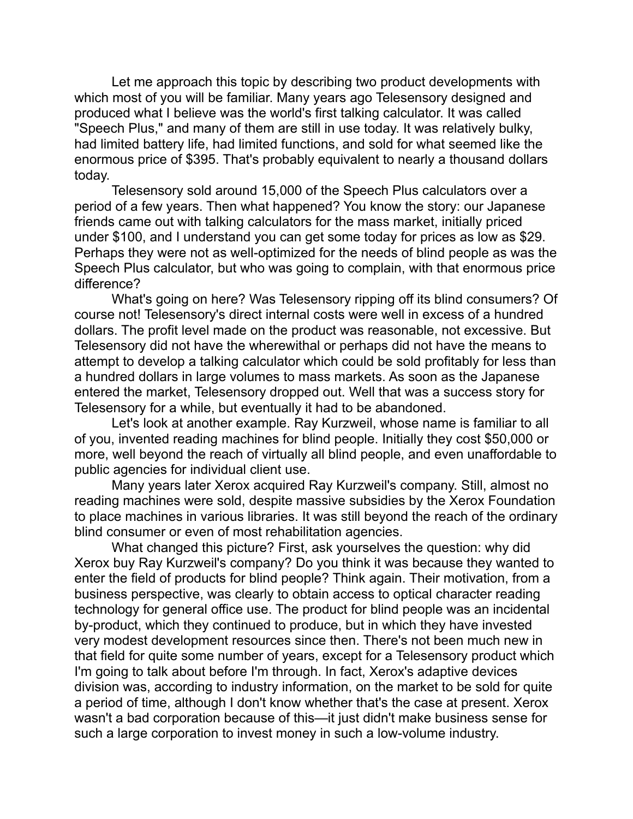Let me approach this topic by describing two product developments with which most of you will be familiar. Many years ago Telesensory designed and produced what I believe was the world's first talking calculator. It was called "Speech Plus," and many of them are still in use today. It was relatively bulky, had limited battery life, had limited functions, and sold for what seemed like the enormous price of \$395. That's probably equivalent to nearly a thousand dollars today.

Telesensory sold around 15,000 of the Speech Plus calculators over a period of a few years. Then what happened? You know the story: our Japanese friends came out with talking calculators for the mass market, initially priced under \$100, and I understand you can get some today for prices as low as \$29. Perhaps they were not as well-optimized for the needs of blind people as was the Speech Plus calculator, but who was going to complain, with that enormous price difference?

What's going on here? Was Telesensory ripping off its blind consumers? Of course not! Telesensory's direct internal costs were well in excess of a hundred dollars. The profit level made on the product was reasonable, not excessive. But Telesensory did not have the wherewithal or perhaps did not have the means to attempt to develop a talking calculator which could be sold profitably for less than a hundred dollars in large volumes to mass markets. As soon as the Japanese entered the market, Telesensory dropped out. Well that was a success story for Telesensory for a while, but eventually it had to be abandoned.

Let's look at another example. Ray Kurzweil, whose name is familiar to all of you, invented reading machines for blind people. Initially they cost \$50,000 or more, well beyond the reach of virtually all blind people, and even unaffordable to public agencies for individual client use.

Many years later Xerox acquired Ray Kurzweil's company. Still, almost no reading machines were sold, despite massive subsidies by the Xerox Foundation to place machines in various libraries. It was still beyond the reach of the ordinary blind consumer or even of most rehabilitation agencies.

What changed this picture? First, ask yourselves the question: why did Xerox buy Ray Kurzweil's company? Do you think it was because they wanted to enter the field of products for blind people? Think again. Their motivation, from a business perspective, was clearly to obtain access to optical character reading technology for general office use. The product for blind people was an incidental by-product, which they continued to produce, but in which they have invested very modest development resources since then. There's not been much new in that field for quite some number of years, except for a Telesensory product which I'm going to talk about before I'm through. In fact, Xerox's adaptive devices division was, according to industry information, on the market to be sold for quite a period of time, although I don't know whether that's the case at present. Xerox wasn't a bad corporation because of this—it just didn't make business sense for such a large corporation to invest money in such a low-volume industry.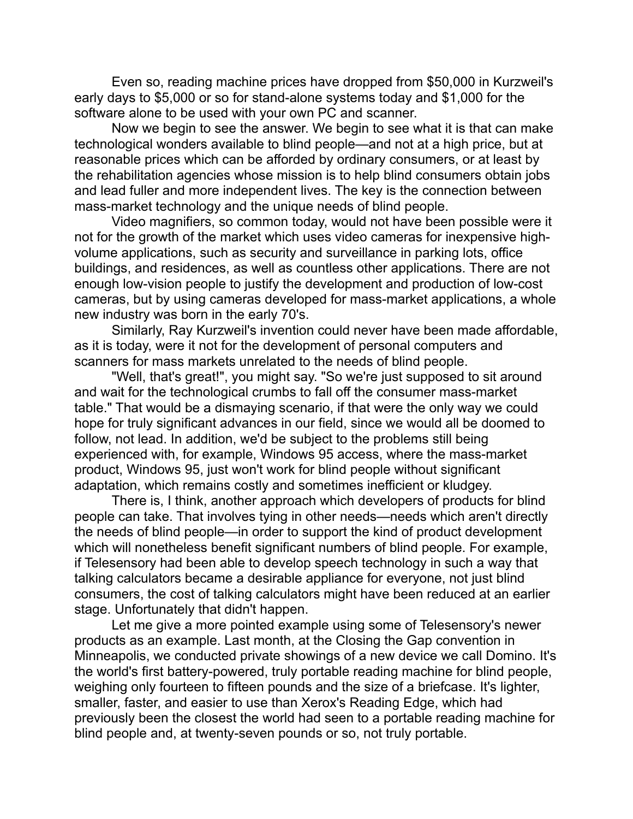Even so, reading machine prices have dropped from \$50,000 in Kurzweil's early days to \$5,000 or so for stand-alone systems today and \$1,000 for the software alone to be used with your own PC and scanner.

Now we begin to see the answer. We begin to see what it is that can make technological wonders available to blind people—and not at a high price, but at reasonable prices which can be afforded by ordinary consumers, or at least by the rehabilitation agencies whose mission is to help blind consumers obtain jobs and lead fuller and more independent lives. The key is the connection between mass-market technology and the unique needs of blind people.

Video magnifiers, so common today, would not have been possible were it not for the growth of the market which uses video cameras for inexpensive highvolume applications, such as security and surveillance in parking lots, office buildings, and residences, as well as countless other applications. There are not enough low-vision people to justify the development and production of low-cost cameras, but by using cameras developed for mass-market applications, a whole new industry was born in the early 70's.

Similarly, Ray Kurzweil's invention could never have been made affordable, as it is today, were it not for the development of personal computers and scanners for mass markets unrelated to the needs of blind people.

"Well, that's great!", you might say. "So we're just supposed to sit around and wait for the technological crumbs to fall off the consumer mass-market table." That would be a dismaying scenario, if that were the only way we could hope for truly significant advances in our field, since we would all be doomed to follow, not lead. In addition, we'd be subject to the problems still being experienced with, for example, Windows 95 access, where the mass-market product, Windows 95, just won't work for blind people without significant adaptation, which remains costly and sometimes inefficient or kludgey.

There is, I think, another approach which developers of products for blind people can take. That involves tying in other needs—needs which aren't directly the needs of blind people—in order to support the kind of product development which will nonetheless benefit significant numbers of blind people. For example, if Telesensory had been able to develop speech technology in such a way that talking calculators became a desirable appliance for everyone, not just blind consumers, the cost of talking calculators might have been reduced at an earlier stage. Unfortunately that didn't happen.

Let me give a more pointed example using some of Telesensory's newer products as an example. Last month, at the Closing the Gap convention in Minneapolis, we conducted private showings of a new device we call Domino. It's the world's first battery-powered, truly portable reading machine for blind people, weighing only fourteen to fifteen pounds and the size of a briefcase. It's lighter, smaller, faster, and easier to use than Xerox's Reading Edge, which had previously been the closest the world had seen to a portable reading machine for blind people and, at twenty-seven pounds or so, not truly portable.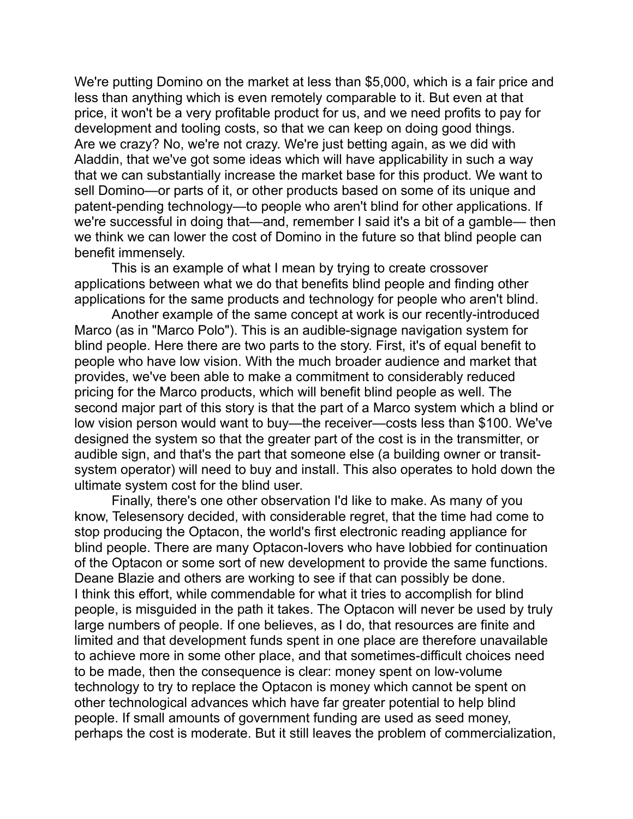We're putting Domino on the market at less than \$5,000, which is a fair price and less than anything which is even remotely comparable to it. But even at that price, it won't be a very profitable product for us, and we need profits to pay for development and tooling costs, so that we can keep on doing good things. Are we crazy? No, we're not crazy. We're just betting again, as we did with Aladdin, that we've got some ideas which will have applicability in such a way that we can substantially increase the market base for this product. We want to sell Domino—or parts of it, or other products based on some of its unique and patent-pending technology—to people who aren't blind for other applications. If we're successful in doing that—and, remember I said it's a bit of a gamble— then we think we can lower the cost of Domino in the future so that blind people can benefit immensely.

This is an example of what I mean by trying to create crossover applications between what we do that benefits blind people and finding other applications for the same products and technology for people who aren't blind.

Another example of the same concept at work is our recently-introduced Marco (as in "Marco Polo"). This is an audible-signage navigation system for blind people. Here there are two parts to the story. First, it's of equal benefit to people who have low vision. With the much broader audience and market that provides, we've been able to make a commitment to considerably reduced pricing for the Marco products, which will benefit blind people as well. The second major part of this story is that the part of a Marco system which a blind or low vision person would want to buy—the receiver—costs less than \$100. We've designed the system so that the greater part of the cost is in the transmitter, or audible sign, and that's the part that someone else (a building owner or transitsystem operator) will need to buy and install. This also operates to hold down the ultimate system cost for the blind user.

Finally, there's one other observation I'd like to make. As many of you know, Telesensory decided, with considerable regret, that the time had come to stop producing the Optacon, the world's first electronic reading appliance for blind people. There are many Optacon-lovers who have lobbied for continuation of the Optacon or some sort of new development to provide the same functions. Deane Blazie and others are working to see if that can possibly be done. I think this effort, while commendable for what it tries to accomplish for blind people, is misguided in the path it takes. The Optacon will never be used by truly large numbers of people. If one believes, as I do, that resources are finite and limited and that development funds spent in one place are therefore unavailable to achieve more in some other place, and that sometimes-difficult choices need to be made, then the consequence is clear: money spent on low-volume technology to try to replace the Optacon is money which cannot be spent on other technological advances which have far greater potential to help blind people. If small amounts of government funding are used as seed money, perhaps the cost is moderate. But it still leaves the problem of commercialization,